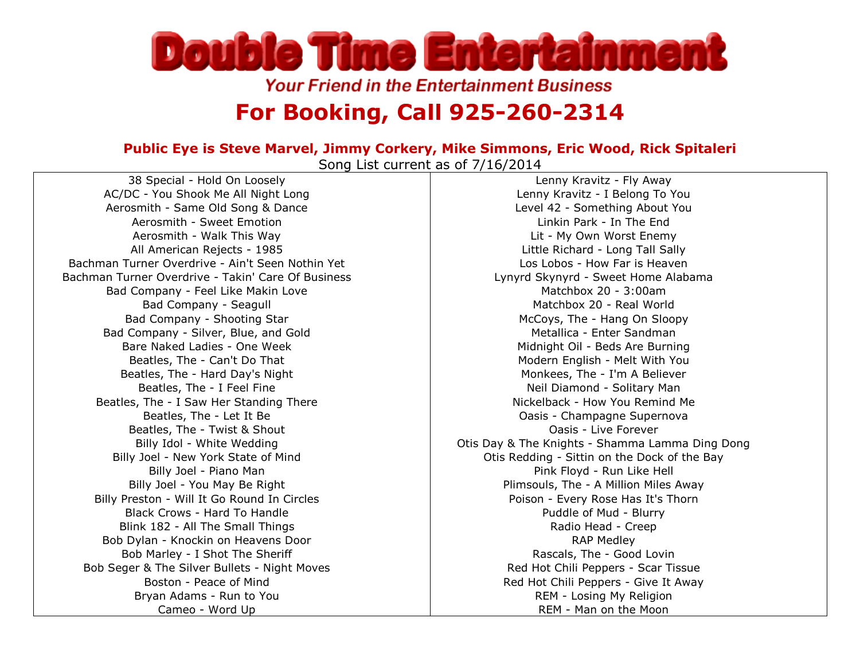

**Your Friend in the Entertainment Business** 

## **For Booking, Call 925-260-2314**

## **Public Eye is Steve Marvel, Jimmy Corkery, Mike Simmons, Eric Wood, Rick Spitaleri**

Song List current as of 7/16/2014

38 Special - Hold On Loosely AC/DC - You Shook Me All Night Long Aerosmith - Same Old Song & Dance Aerosmith - Sweet Emotion Aerosmith - Walk This Way All American Rejects - 1985 Bachman Turner Overdrive - Ain't Seen Nothin Yet Bachman Turner Overdrive - Takin' Care Of Business Bad Company - Feel Like Makin Love Bad Company - Seagull Bad Company - Shooting Star Bad Company - Silver, Blue, and Gold Bare Naked Ladies - One Week Beatles, The - Can't Do That Beatles, The - Hard Day's Night Beatles, The - I Feel Fine Beatles, The - I Saw Her Standing There Beatles, The - Let It Be Beatles, The - Twist & Shout Billy Idol - White Wedding Billy Joel - New York State of Mind Billy Joel - Piano Man Billy Joel - You May Be Right Billy Preston - Will It Go Round In Circles Black Crows - Hard To Handle Blink 182 - All The Small Things Bob Dylan - Knockin on Heavens Door Bob Marley - I Shot The Sheriff Bob Seger & The Silver Bullets - Night Moves Boston - Peace of Mind Bryan Adams - Run to You Cameo - Word Up

Lenny Kravitz - Fly Away Lenny Kravitz - I Belong To You Level 42 - Something About You Linkin Park - In The End Lit - My Own Worst Enemy Little Richard - Long Tall Sally Los Lobos - How Far is Heaven Lynyrd Skynyrd - Sweet Home Alabama Matchbox 20 - 3:00am Matchbox 20 - Real World McCoys, The - Hang On Sloopy Metallica - Enter Sandman Midnight Oil - Beds Are Burning Modern English - Melt With You Monkees, The - I'm A Believer Neil Diamond - Solitary Man Nickelback - How You Remind Me Oasis - Champagne Supernova Oasis - Live Forever Otis Day & The Knights - Shamma Lamma Ding Dong Otis Redding - Sittin on the Dock of the Bay Pink Floyd - Run Like Hell Plimsouls, The - A Million Miles Away Poison - Every Rose Has It's Thorn Puddle of Mud - Blurry Radio Head - Creep RAP Medley Rascals, The - Good Lovin Red Hot Chili Peppers - Scar Tissue Red Hot Chili Peppers - Give It Away REM - Losing My Religion REM - Man on the Moon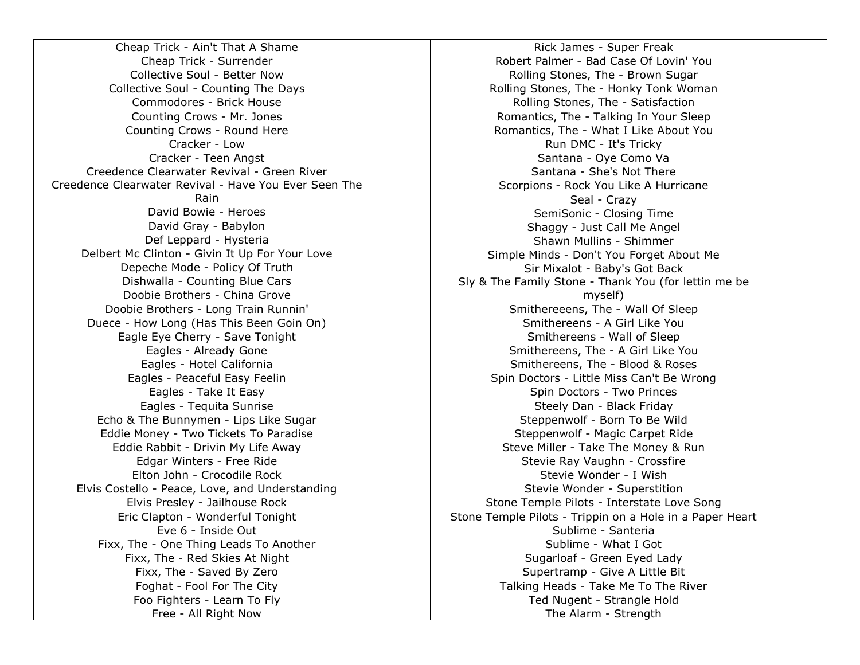Cheap Trick - Ain't That A Shame Cheap Trick - Surrender Collective Soul - Better Now Collective Soul - Counting The Days Commodores - Brick House Counting Crows - Mr. Jones Counting Crows - Round Here Cracker - Low Cracker - Teen Angst Creedence Clearwater Revival - Green River Creedence Clearwater Revival - Have You Ever Seen The Rain David Bowie - Heroes David Gray - Babylon Def Leppard - Hysteria Delbert Mc Clinton - Givin It Up For Your Love Depeche Mode - Policy Of Truth Dishwalla - Counting Blue Cars Doobie Brothers - China Grove Doobie Brothers - Long Train Runnin' Duece - How Long (Has This Been Goin On) Eagle Eye Cherry - Save Tonight Eagles - Already Gone Eagles - Hotel California Eagles - Peaceful Easy Feelin Eagles - Take It Easy Eagles - Tequita Sunrise Echo & The Bunnymen - Lips Like Sugar Eddie Money - Two Tickets To Paradise Eddie Rabbit - Drivin My Life Away Edgar Winters - Free Ride Elton John - Crocodile Rock Elvis Costello - Peace, Love, and Understanding Elvis Presley - Jailhouse Rock Eric Clapton - Wonderful Tonight Eve 6 - Inside Out Fixx, The - One Thing Leads To Another Fixx, The - Red Skies At Night Fixx, The - Saved By Zero Foghat - Fool For The City Foo Fighters - Learn To Fly Free - All Right Now

Rick James - Super Freak Robert Palmer - Bad Case Of Lovin' You Rolling Stones, The - Brown Sugar Rolling Stones, The - Honky Tonk Woman Rolling Stones, The - Satisfaction Romantics, The - Talking In Your Sleep Romantics, The - What I Like About You Run DMC - It's Tricky Santana - Oye Como Va Santana - She's Not There Scorpions - Rock You Like A Hurricane Seal - Crazy SemiSonic - Closing Time Shaggy - Just Call Me Angel Shawn Mullins - Shimmer Simple Minds - Don't You Forget About Me Sir Mixalot - Baby's Got Back Sly & The Family Stone - Thank You (for lettin me be myself) Smithereeens, The - Wall Of Sleep Smithereens - A Girl Like You Smithereens - Wall of Sleep Smithereens, The - A Girl Like You Smithereens, The - Blood & Roses Spin Doctors - Little Miss Can't Be Wrong Spin Doctors - Two Princes Steely Dan - Black Friday Steppenwolf - Born To Be Wild Steppenwolf - Magic Carpet Ride Steve Miller - Take The Money & Run Stevie Ray Vaughn - Crossfire Stevie Wonder - I Wish Stevie Wonder - Superstition Stone Temple Pilots - Interstate Love Song Stone Temple Pilots - Trippin on a Hole in a Paper Heart Sublime - Santeria Sublime - What I Got Sugarloaf - Green Eyed Lady Supertramp - Give A Little Bit Talking Heads - Take Me To The River Ted Nugent - Strangle Hold The Alarm - Strength